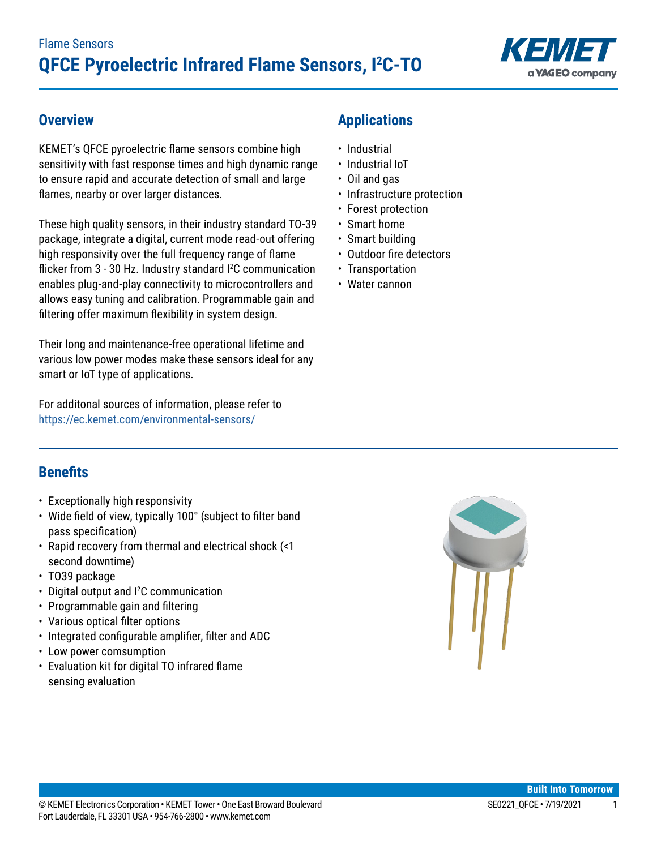

### **Overview**

KEMET's QFCE pyroelectric flame sensors combine high sensitivity with fast response times and high dynamic range to ensure rapid and accurate detection of small and large flames, nearby or over larger distances.

These high quality sensors, in their industry standard TO-39 package, integrate a digital, current mode read-out offering high responsivity over the full frequency range of flame flicker from 3 - 30 Hz. Industry standard <sup>2</sup>C communication enables plug-and-play connectivity to microcontrollers and allows easy tuning and calibration. Programmable gain and filtering offer maximum flexibility in system design.

Their long and maintenance-free operational lifetime and various low power modes make these sensors ideal for any smart or IoT type of applications.

For additonal sources of information, please refer to <https://ec.kemet.com/environmental-sensors/>

# **Applications**

- Industrial
- Industrial IoT
- Oil and gas
- Infrastructure protection
- Forest protection
- Smart home
- Smart building
- • Outdoor fire detectors
- Transportation
- Water cannon

### **Benefits**

- Exceptionally high responsivity
- Wide field of view, typically 100° (subject to filter band pass specification)
- Rapid recovery from thermal and electrical shock (<1 second downtime)
- TO39 package
- Digital output and <sup>12</sup>C communication
- Programmable gain and filtering
- Various optical filter options
- Integrated configurable amplifier, filter and ADC
- Low power comsumption
- • Evaluation kit for digital TO infrared flame sensing evaluation

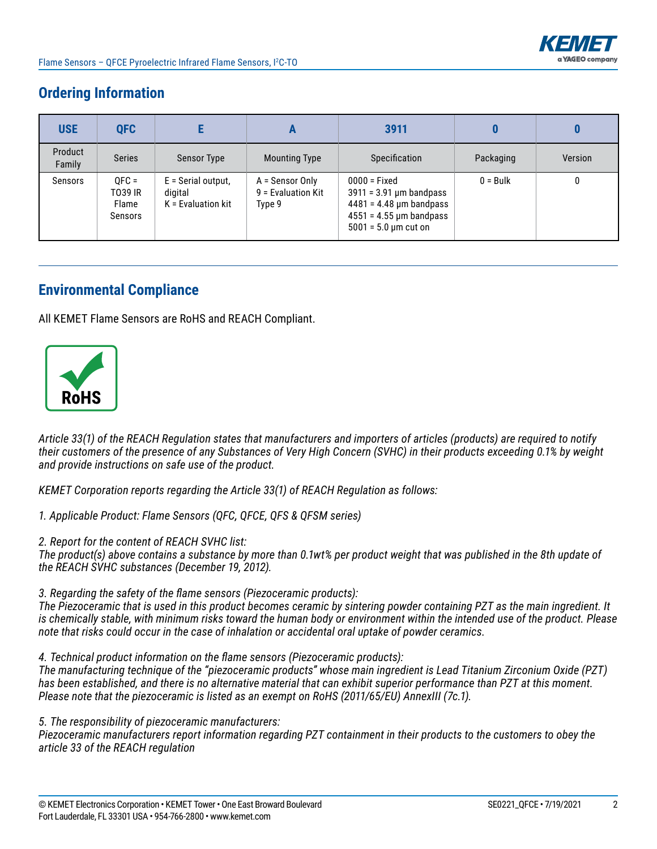

# **Ordering Information**

| <b>USE</b>        | <b>QFC</b>                             |                                                         | A                                                 | 3911                                                                                                                                          |            |         |
|-------------------|----------------------------------------|---------------------------------------------------------|---------------------------------------------------|-----------------------------------------------------------------------------------------------------------------------------------------------|------------|---------|
| Product<br>Family | <b>Series</b>                          | <b>Sensor Type</b>                                      | <b>Mounting Type</b>                              | Specification                                                                                                                                 | Packaging  | Version |
| Sensors           | $OFC =$<br>T039 IR<br>Flame<br>Sensors | $E =$ Serial output,<br>digital<br>$K =$ Evaluation kit | A = Sensor Only<br>$9$ = Evaluation Kit<br>Type 9 | $0000 =$ Fixed<br>$3911 = 3.91$ µm bandpass<br>$4481 = 4.48$ µm bandpass<br>$4551 = 4.55 \,\mu m$ bandpass<br>$5001 = 5.0 \,\text{µm}$ cut on | $0 = Bulk$ | 0       |

### **Environmental Compliance**

All KEMET Flame Sensors are RoHS and REACH Compliant.



*Article 33(1) of the REACH Regulation states that manufacturers and importers of articles (products) are required to notify their customers of the presence of any Substances of Very High Concern (SVHC) in their products exceeding 0.1% by weight and provide instructions on safe use of the product.*

*KEMET Corporation reports regarding the Article 33(1) of REACH Regulation as follows:*

*1. Applicable Product: Flame Sensors (QFC, QFCE, QFS & QFSM series)*

*2. Report for the content of REACH SVHC list:* 

*The product(s) above contains a substance by more than 0.1wt% per product weight that was published in the 8th update of the REACH SVHC substances (December 19, 2012).* 

*3. Regarding the safety of the flame sensors (Piezoceramic products):*

*The Piezoceramic that is used in this product becomes ceramic by sintering powder containing PZT as the main ingredient. It is chemically stable, with minimum risks toward the human body or environment within the intended use of the product. Please note that risks could occur in the case of inhalation or accidental oral uptake of powder ceramics.*

*4. Technical product information on the flame sensors (Piezoceramic products):*

*The manufacturing technique of the "piezoceramic products" whose main ingredient is Lead Titanium Zirconium Oxide (PZT) has been established, and there is no alternative material that can exhibit superior performance than PZT at this moment. Please note that the piezoceramic is listed as an exempt on RoHS (2011/65/EU) AnnexIII (7c.1).*

*5. The responsibility of piezoceramic manufacturers:*

*Piezoceramic manufacturers report information regarding PZT containment in their products to the customers to obey the article 33 of the REACH regulation*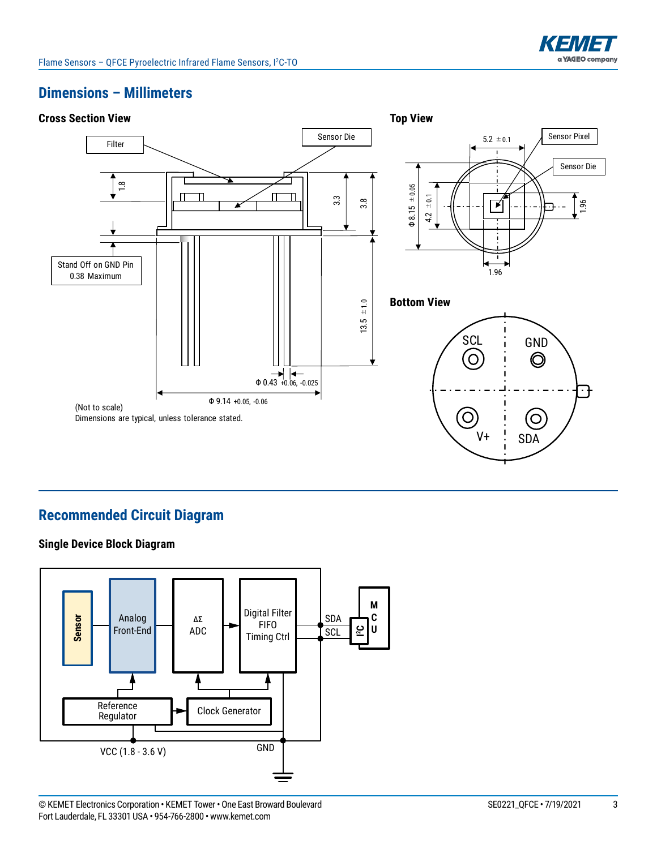

### **Dimensions – Millimeters**



# **Recommended Circuit Diagram**

#### **Single Device Block Diagram**

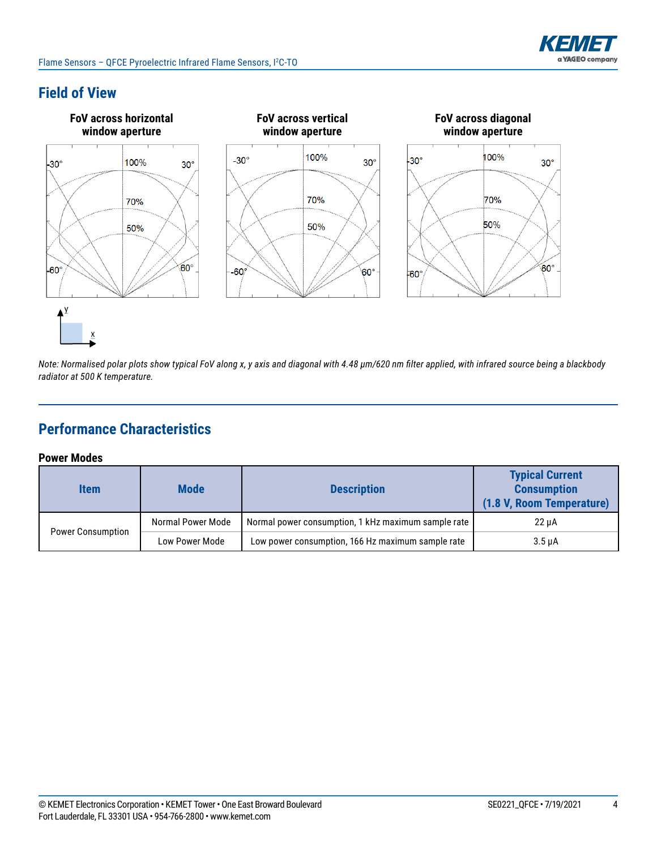

## **Field of View**



*Note: Normalised polar plots show typical FoV along x, y axis and diagonal with 4.48 μm/620 nm filter applied, with infrared source being a blackbody radiator at 500 K temperature.*

# **Performance Characteristics**

#### **Power Modes**

| <b>Item</b>              | <b>Mode</b><br><b>Description</b> |                                                     | <b>Typical Current</b><br><b>Consumption</b><br>(1.8 V, Room Temperature) |  |
|--------------------------|-----------------------------------|-----------------------------------------------------|---------------------------------------------------------------------------|--|
|                          | Normal Power Mode                 | Normal power consumption, 1 kHz maximum sample rate | 22 uA                                                                     |  |
| <b>Power Consumption</b> | Low Power Mode                    | Low power consumption, 166 Hz maximum sample rate   | $3.5 \mu A$                                                               |  |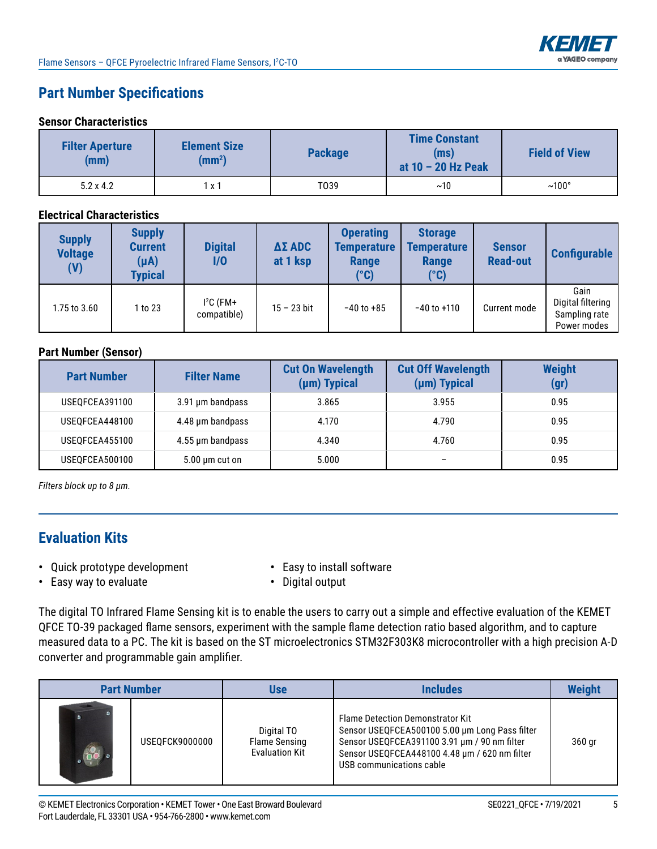

# **Part Number Specifications**

#### **Sensor Characteristics**

| <b>Filter Aperture</b><br>(mm) | <b>Element Size</b><br>(mm <sup>2</sup> ) | <b>Package</b> | <b>Time Constant</b><br>(ms)<br>at $10 - 20$ Hz Peak | <b>Field of View</b> |
|--------------------------------|-------------------------------------------|----------------|------------------------------------------------------|----------------------|
| $5.2 \times 4.2$               | ΙX <sup>-</sup>                           | T039           | ~10                                                  | $~100^{\circ}$       |

#### **Electrical Characteristics**

| <b>Supply</b><br><b>Voltage</b><br>(V) | <b>Supply</b><br><b>Current</b><br>$(\mu A)$<br><b>Typical</b> | <b>Digital</b><br>I/O      | <b>ΔΣ ADC</b><br>at 1 ksp | <b>Operating</b><br><b>Temperature</b><br><b>Range</b><br>$(^\circ \text{C})$ | <b>Storage</b><br><b>Temperature</b><br>Range<br>$(^\circ \text{C})$ | <b>Sensor</b><br><b>Read-out</b> | <b>Configurable</b>                                       |
|----------------------------------------|----------------------------------------------------------------|----------------------------|---------------------------|-------------------------------------------------------------------------------|----------------------------------------------------------------------|----------------------------------|-----------------------------------------------------------|
| 1.75 to 3.60                           | 1 to 23                                                        | $I^2C$ (FM+<br>compatible) | $15 - 23$ bit             | $-40$ to $+85$                                                                | $-40$ to $+110$                                                      | Current mode                     | Gain<br>Digital filtering<br>Sampling rate<br>Power modes |

#### **Part Number (Sensor)**

| <b>Part Number</b> | <b>Filter Name</b>  | <b>Cut On Wavelength</b><br>(µm) Typical | <b>Cut Off Wavelength</b><br>(µm) Typical | <b>Weight</b><br>(gr) |
|--------------------|---------------------|------------------------------------------|-------------------------------------------|-----------------------|
| USEOFCEA391100     | 3.91 µm bandpass    | 3.865                                    | 3.955                                     | 0.95                  |
| USEQFCEA448100     | 4.48 µm bandpass    | 4.170                                    | 4.790                                     | 0.95                  |
| USEOFCEA455100     | 4.55 µm bandpass    | 4.340                                    | 4.760                                     | 0.95                  |
| USEQFCEA500100     | $5.00 \mu m$ cut on | 5.000                                    | $\qquad \qquad$                           | 0.95                  |

*Filters block up to 8 μm.*

## **Evaluation Kits**

- **•** Quick prototype development **•** Easy to install software
- 
- **•** Easy way to evaluate **•** Digital output
- 

The digital TO Infrared Flame Sensing kit is to enable the users to carry out a simple and effective evaluation of the KEMET QFCE TO-39 packaged flame sensors, experiment with the sample flame detection ratio based algorithm, and to capture measured data to a PC. The kit is based on the ST microelectronics STM32F303K8 microcontroller with a high precision A-D converter and programmable gain amplifier.

| <b>Part Number</b> |                | Use                                                  | Includes                                                                                                                                                                                                               | <b>Weight</b> |
|--------------------|----------------|------------------------------------------------------|------------------------------------------------------------------------------------------------------------------------------------------------------------------------------------------------------------------------|---------------|
|                    | USEOFCK9000000 | Digital TO<br>Flame Sensing<br><b>Evaluation Kit</b> | <b>Flame Detection Demonstrator Kit</b><br>Sensor USEQFCEA500100 5.00 um Long Pass filter<br>Sensor USEQFCEA391100 3.91 µm / 90 nm filter<br>Sensor USEQFCEA448100 4.48 µm / 620 nm filter<br>USB communications cable | 360 gr        |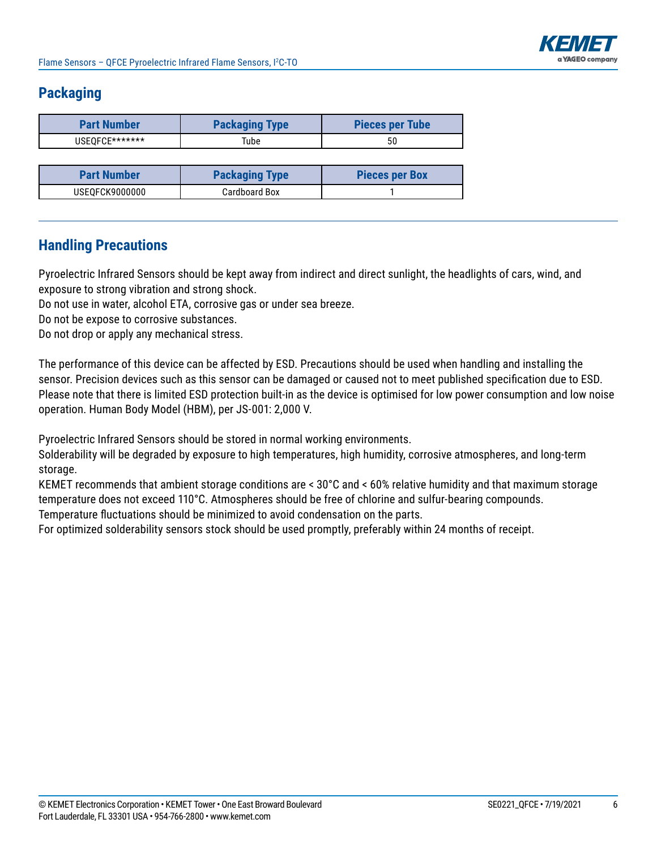

## **Packaging**

| <b>Part Number</b> | <b>Packaging Type</b> | <b>Pieces per Tube</b> |  |
|--------------------|-----------------------|------------------------|--|
| USEOFCE*******     | Tube                  | 50                     |  |

| <b>Part Number</b> | <b>Packaging Type</b> | <b>Pieces per Box</b> |  |
|--------------------|-----------------------|-----------------------|--|
| USEQFCK9000000     | Cardboard Box         |                       |  |

## **Handling Precautions**

Pyroelectric Infrared Sensors should be kept away from indirect and direct sunlight, the headlights of cars, wind, and exposure to strong vibration and strong shock.

Do not use in water, alcohol ETA, corrosive gas or under sea breeze.

Do not be expose to corrosive substances.

Do not drop or apply any mechanical stress.

The performance of this device can be affected by ESD. Precautions should be used when handling and installing the sensor. Precision devices such as this sensor can be damaged or caused not to meet published specification due to ESD. Please note that there is limited ESD protection built-in as the device is optimised for low power consumption and low noise operation. Human Body Model (HBM), per JS-001: 2,000 V.

Pyroelectric Infrared Sensors should be stored in normal working environments.

Solderability will be degraded by exposure to high temperatures, high humidity, corrosive atmospheres, and long-term storage.

KEMET recommends that ambient storage conditions are < 30°C and < 60% relative humidity and that maximum storage temperature does not exceed 110°C. Atmospheres should be free of chlorine and sulfur-bearing compounds.

Temperature fluctuations should be minimized to avoid condensation on the parts.

For optimized solderability sensors stock should be used promptly, preferably within 24 months of receipt.